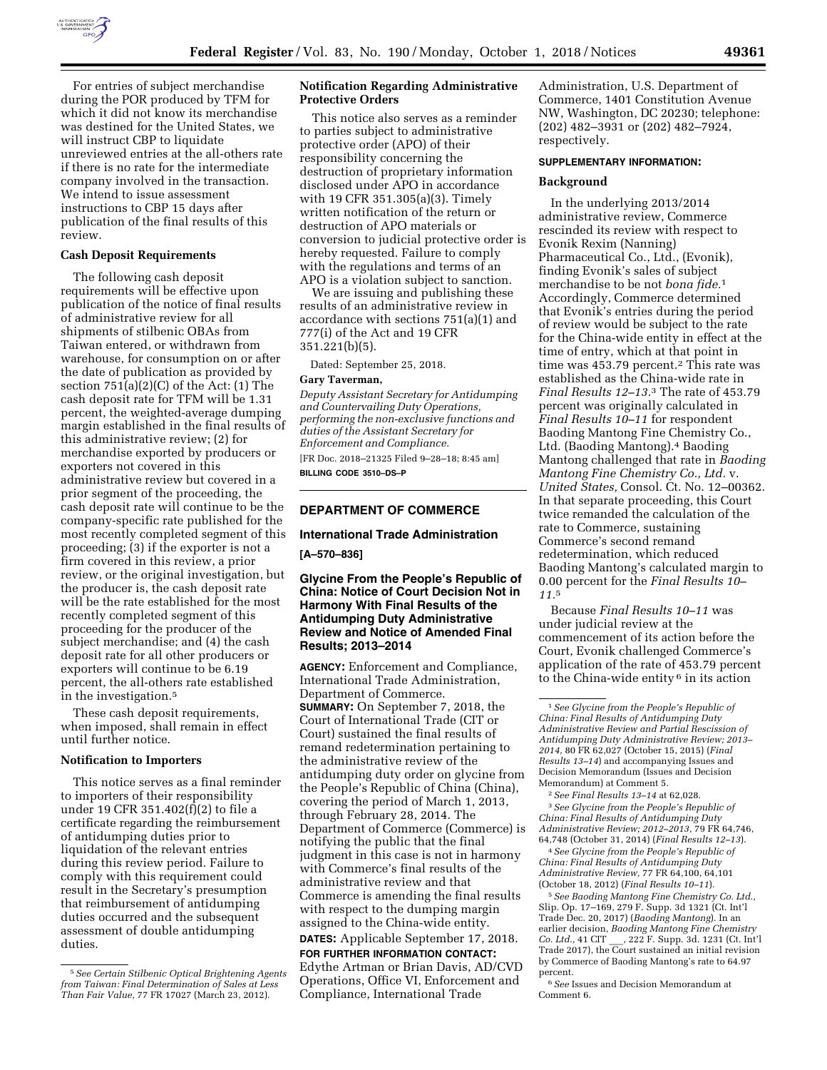

For entries of subject merchandise during the POR produced by TFM for which it did not know its merchandise was destined for the United States, we will instruct CBP to liquidate unreviewed entries at the all-others rate if there is no rate for the intermediate company involved in the transaction. We intend to issue assessment instructions to CBP 15 days after publication of the final results of this review.

### **Cash Deposit Requirements**

The following cash deposit requirements will be effective upon publication of the notice of final results of administrative review for all shipments of stilbenic OBAs from Taiwan entered, or withdrawn from warehouse, for consumption on or after the date of publication as provided by section  $751(a)(2)(C)$  of the Act:  $(1)$  The cash deposit rate for TFM will be 1.31 percent, the weighted-average dumping margin established in the final results of this administrative review; (2) for merchandise exported by producers or exporters not covered in this administrative review but covered in a prior segment of the proceeding, the cash deposit rate will continue to be the company-specific rate published for the most recently completed segment of this proceeding; (3) if the exporter is not a firm covered in this review, a prior review, or the original investigation, but the producer is, the cash deposit rate will be the rate established for the most recently completed segment of this proceeding for the producer of the subject merchandise; and (4) the cash deposit rate for all other producers or exporters will continue to be 6.19 percent, the all-others rate established in the investigation.5

These cash deposit requirements, when imposed, shall remain in effect until further notice.

## **Notification to Importers**

This notice serves as a final reminder to importers of their responsibility under 19 CFR 351.402(f)(2) to file a certificate regarding the reimbursement of antidumping duties prior to liquidation of the relevant entries during this review period. Failure to comply with this requirement could result in the Secretary's presumption that reimbursement of antidumping duties occurred and the subsequent assessment of double antidumping duties.

# **Notification Regarding Administrative Protective Orders**

This notice also serves as a reminder to parties subject to administrative protective order (APO) of their responsibility concerning the destruction of proprietary information disclosed under APO in accordance with 19 CFR 351.305(a)(3). Timely written notification of the return or destruction of APO materials or conversion to judicial protective order is hereby requested. Failure to comply with the regulations and terms of an APO is a violation subject to sanction.

We are issuing and publishing these results of an administrative review in accordance with sections 751(a)(1) and 777(i) of the Act and 19 CFR 351.221(b)(5).

Dated: September 25, 2018.

## **Gary Taverman,**

*Deputy Assistant Secretary for Antidumping and Countervailing Duty Operations, performing the non-exclusive functions and duties of the Assistant Secretary for Enforcement and Compliance.*  [FR Doc. 2018–21325 Filed 9–28–18; 8:45 am]

**BILLING CODE 3510–DS–P** 

# **DEPARTMENT OF COMMERCE**

# **International Trade Administration**

# **[A–570–836]**

# **Glycine From the People's Republic of China: Notice of Court Decision Not in Harmony With Final Results of the Antidumping Duty Administrative Review and Notice of Amended Final Results; 2013–2014**

**AGENCY:** Enforcement and Compliance, International Trade Administration, Department of Commerce. **SUMMARY:** On September 7, 2018, the Court of International Trade (CIT or Court) sustained the final results of remand redetermination pertaining to the administrative review of the antidumping duty order on glycine from the People's Republic of China (China), covering the period of March 1, 2013, through February 28, 2014. The Department of Commerce (Commerce) is notifying the public that the final judgment in this case is not in harmony with Commerce's final results of the administrative review and that Commerce is amending the final results with respect to the dumping margin assigned to the China-wide entity. **DATES:** Applicable September 17, 2018.

# **FOR FURTHER INFORMATION CONTACT:**

Edythe Artman or Brian Davis, AD/CVD Operations, Office VI, Enforcement and Compliance, International Trade

Administration, U.S. Department of Commerce, 1401 Constitution Avenue NW, Washington, DC 20230; telephone: (202) 482–3931 or (202) 482–7924, respectively.

## **SUPPLEMENTARY INFORMATION:**

#### **Background**

In the underlying 2013/2014 administrative review, Commerce rescinded its review with respect to Evonik Rexim (Nanning) Pharmaceutical Co., Ltd., (Evonik), finding Evonik's sales of subject merchandise to be not *bona fide.*1 Accordingly, Commerce determined that Evonik's entries during the period of review would be subject to the rate for the China-wide entity in effect at the time of entry, which at that point in time was 453.79 percent.<sup>2</sup> This rate was established as the China-wide rate in *Final Results 12–13.*3 The rate of 453.79 percent was originally calculated in *Final Results 10–11* for respondent Baoding Mantong Fine Chemistry Co., Ltd. (Baoding Mantong).4 Baoding Mantong challenged that rate in *Baoding Mantong Fine Chemistry Co., Ltd.* v. *United States,* Consol. Ct. No. 12–00362. In that separate proceeding, this Court twice remanded the calculation of the rate to Commerce, sustaining Commerce's second remand redetermination, which reduced Baoding Mantong's calculated margin to 0.00 percent for the *Final Results 10– 11.*5

Because *Final Results 10–11* was under judicial review at the commencement of its action before the Court, Evonik challenged Commerce's application of the rate of 453.79 percent to the China-wide entity 6 in its action

2*See Final Results 13–14* at 62,028. 3*See Glycine from the People's Republic of China: Final Results of Antidumping Duty Administrative Review; 2012–2013,* 79 FR 64,746, 64,748 (October 31, 2014) (*Final Results 12–13*).

4*See Glycine from the People's Republic of China: Final Results of Antidumping Duty Administrative Review,* 77 FR 64,100, 64,101 (October 18, 2012) (*Final Results 10–11*).

5*See Baoding Mantong Fine Chemistry Co. Ltd.,*  Slip. Op. 17–169, 279 F. Supp. 3d 1321 (Ct. Int'l Trade Dec. 20, 2017) (*Baoding Mantong*). In an earlier decision, *Baoding Mantong Fine Chemistry Co. Ltd.,* 41 CIT \_\_\_, 222 F. Supp. 3d. 1231 (Ct. Int'l Trade 2017), the Court sustained an initial revision by Commerce of Baoding Mantong's rate to 64.97 percent.

6*See* Issues and Decision Memorandum at Comment 6.

<sup>5</sup>*See Certain Stilbenic Optical Brightening Agents from Taiwan: Final Determination of Sales at Less Than Fair Value,* 77 FR 17027 (March 23, 2012).

<sup>1</sup>*See Glycine from the People's Republic of China: Final Results of Antidumping Duty Administrative Review and Partial Rescission of Antidumping Duty Administrative Review; 2013– 2014,* 80 FR 62,027 (October 15, 2015) (*Final Results 13–14*) and accompanying Issues and Decision Memorandum (Issues and Decision Memorandum) at Comment 5.